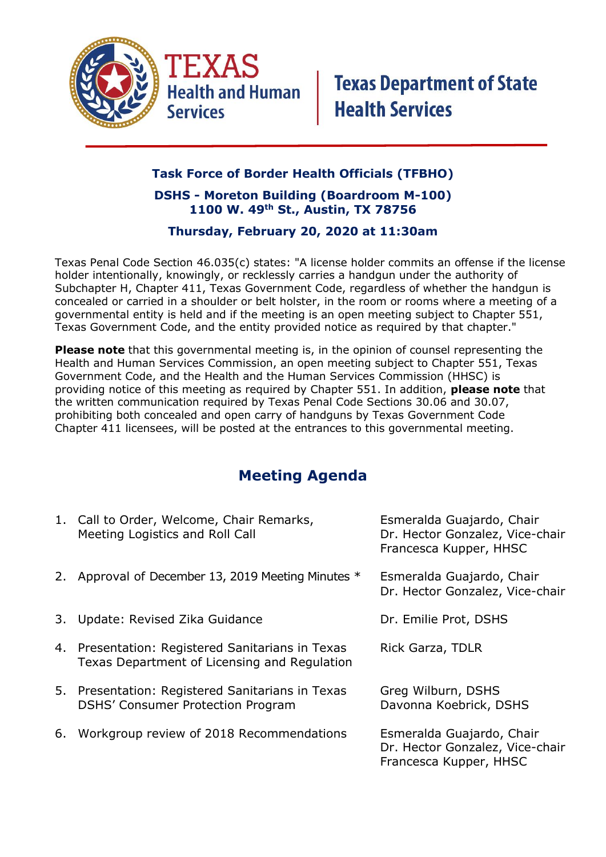

## **Task Force of Border Health Officials (TFBHO)**

## **DSHS - Moreton Building (Boardroom M-100) 1100 W. 49th St., Austin, TX 78756**

## **Thursday, February 20, 2020 at 11:30am**

Texas Penal Code Section 46.035(c) states: "A license holder commits an offense if the license holder intentionally, knowingly, or recklessly carries a handgun under the authority of Subchapter H, Chapter 411, Texas Government Code, regardless of whether the handgun is concealed or carried in a shoulder or belt holster, in the room or rooms where a meeting of a governmental entity is held and if the meeting is an open meeting subject to Chapter 551, Texas Government Code, and the entity provided notice as required by that chapter."

**Please note** that this governmental meeting is, in the opinion of counsel representing the Health and Human Services Commission, an open meeting subject to Chapter 551, Texas Government Code, and the Health and the Human Services Commission (HHSC) is providing notice of this meeting as required by Chapter 551. In addition, **please note** that the written communication required by Texas Penal Code Sections 30.06 and 30.07, prohibiting both concealed and open carry of handguns by Texas Government Code Chapter 411 licensees, will be posted at the entrances to this governmental meeting.

## **Meeting Agenda**

|    | 1. Call to Order, Welcome, Chair Remarks,<br>Meeting Logistics and Roll Call                     | Esmeralda Guajardo, Chair<br>Dr. Hector Gonzalez, Vice-chair<br>Francesca Kupper, HHSC |
|----|--------------------------------------------------------------------------------------------------|----------------------------------------------------------------------------------------|
|    | 2. Approval of December 13, 2019 Meeting Minutes *                                               | Esmeralda Guajardo, Chair<br>Dr. Hector Gonzalez, Vice-chair                           |
|    | 3. Update: Revised Zika Guidance                                                                 | Dr. Emilie Prot, DSHS                                                                  |
|    | 4. Presentation: Registered Sanitarians in Texas<br>Texas Department of Licensing and Regulation | Rick Garza, TDLR                                                                       |
|    | 5. Presentation: Registered Sanitarians in Texas<br><b>DSHS' Consumer Protection Program</b>     | Greg Wilburn, DSHS<br>Davonna Koebrick, DSHS                                           |
| 6. | Workgroup review of 2018 Recommendations                                                         | Esmeralda Guajardo, Chair<br>Dr. Hector Gonzalez, Vice-chair<br>Francesca Kupper, HHSC |